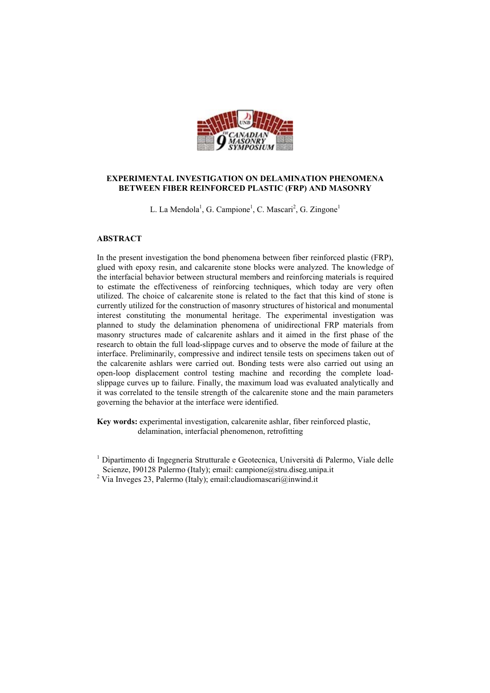

## **EXPERIMENTAL INVESTIGATION ON DELAMINATION PHENOMENA BETWEEN FIBER REINFORCED PLASTIC (FRP) AND MASONRY**

L. La Mendola<sup>1</sup>, G. Campione<sup>1</sup>, C. Mascari<sup>2</sup>, G. Zingone<sup>1</sup>

## **ABSTRACT**

In the present investigation the bond phenomena between fiber reinforced plastic (FRP), glued with epoxy resin, and calcarenite stone blocks were analyzed. The knowledge of the interfacial behavior between structural members and reinforcing materials is required to estimate the effectiveness of reinforcing techniques, which today are very often utilized. The choice of calcarenite stone is related to the fact that this kind of stone is currently utilized for the construction of masonry structures of historical and monumental interest constituting the monumental heritage. The experimental investigation was planned to study the delamination phenomena of unidirectional FRP materials from masonry structures made of calcarenite ashlars and it aimed in the first phase of the research to obtain the full load-slippage curves and to observe the mode of failure at the interface. Preliminarily, compressive and indirect tensile tests on specimens taken out of the calcarenite ashlars were carried out. Bonding tests were also carried out using an open-loop displacement control testing machine and recording the complete loadslippage curves up to failure. Finally, the maximum load was evaluated analytically and it was correlated to the tensile strength of the calcarenite stone and the main parameters governing the behavior at the interface were identified.

**Key words:** experimental investigation, calcarenite ashlar, fiber reinforced plastic, delamination, interfacial phenomenon, retrofitting

<sup>1</sup> Dipartimento di Ingegneria Strutturale e Geotecnica, Università di Palermo, Viale delle Scienze, I90128 Palermo (Italy); email: campione@stru.diseg.unipa.it

<sup>&</sup>lt;sup>2</sup> Via Inveges 23, Palermo (Italy); email:claudiomascari@inwind.it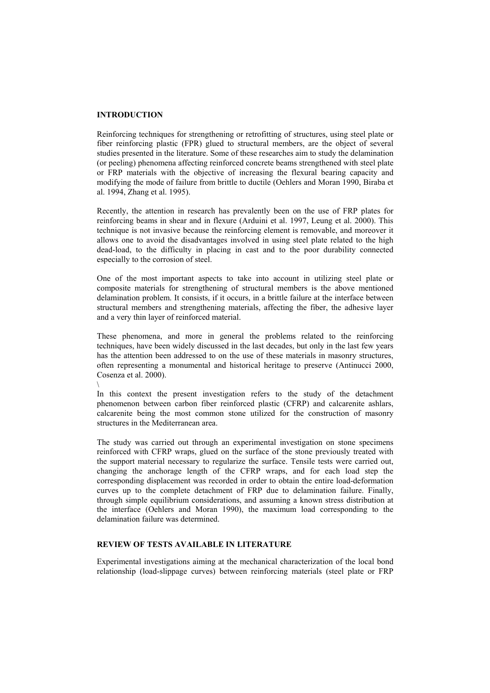#### **INTRODUCTION**

\

Reinforcing techniques for strengthening or retrofitting of structures, using steel plate or fiber reinforcing plastic (FPR) glued to structural members, are the object of several studies presented in the literature. Some of these researches aim to study the delamination (or peeling) phenomena affecting reinforced concrete beams strengthened with steel plate or FRP materials with the objective of increasing the flexural bearing capacity and modifying the mode of failure from brittle to ductile (Oehlers and Moran 1990, Biraba et al. 1994, Zhang et al. 1995).

Recently, the attention in research has prevalently been on the use of FRP plates for reinforcing beams in shear and in flexure (Arduini et al. 1997, Leung et al. 2000). This technique is not invasive because the reinforcing element is removable, and moreover it allows one to avoid the disadvantages involved in using steel plate related to the high dead-load, to the difficulty in placing in cast and to the poor durability connected especially to the corrosion of steel.

One of the most important aspects to take into account in utilizing steel plate or composite materials for strengthening of structural members is the above mentioned delamination problem. It consists, if it occurs, in a brittle failure at the interface between structural members and strengthening materials, affecting the fiber, the adhesive layer and a very thin layer of reinforced material.

These phenomena, and more in general the problems related to the reinforcing techniques, have been widely discussed in the last decades, but only in the last few years has the attention been addressed to on the use of these materials in masonry structures, often representing a monumental and historical heritage to preserve (Antinucci 2000, Cosenza et al. 2000).

In this context the present investigation refers to the study of the detachment phenomenon between carbon fiber reinforced plastic (CFRP) and calcarenite ashlars, calcarenite being the most common stone utilized for the construction of masonry structures in the Mediterranean area.

The study was carried out through an experimental investigation on stone specimens reinforced with CFRP wraps, glued on the surface of the stone previously treated with the support material necessary to regularize the surface. Tensile tests were carried out, changing the anchorage length of the CFRP wraps, and for each load step the corresponding displacement was recorded in order to obtain the entire load-deformation curves up to the complete detachment of FRP due to delamination failure. Finally, through simple equilibrium considerations, and assuming a known stress distribution at the interface (Oehlers and Moran 1990), the maximum load corresponding to the delamination failure was determined.

# **REVIEW OF TESTS AVAILABLE IN LITERATURE**

Experimental investigations aiming at the mechanical characterization of the local bond relationship (load-slippage curves) between reinforcing materials (steel plate or FRP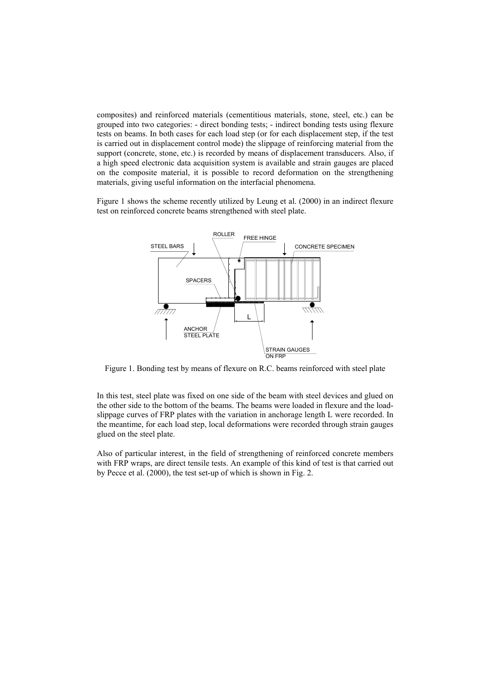composites) and reinforced materials (cementitious materials, stone, steel, etc.) can be grouped into two categories: - direct bonding tests; - indirect bonding tests using flexure tests on beams. In both cases for each load step (or for each displacement step, if the test is carried out in displacement control mode) the slippage of reinforcing material from the support (concrete, stone, etc.) is recorded by means of displacement transducers. Also, if a high speed electronic data acquisition system is available and strain gauges are placed on the composite material, it is possible to record deformation on the strengthening materials, giving useful information on the interfacial phenomena.

Figure 1 shows the scheme recently utilized by Leung et al. (2000) in an indirect flexure test on reinforced concrete beams strengthened with steel plate.



Figure 1. Bonding test by means of flexure on R.C. beams reinforced with steel plate

In this test, steel plate was fixed on one side of the beam with steel devices and glued on the other side to the bottom of the beams. The beams were loaded in flexure and the loadslippage curves of FRP plates with the variation in anchorage length L were recorded. In the meantime, for each load step, local deformations were recorded through strain gauges glued on the steel plate.

Also of particular interest, in the field of strengthening of reinforced concrete members with FRP wraps, are direct tensile tests. An example of this kind of test is that carried out by Pecce et al. (2000), the test set-up of which is shown in Fig. 2.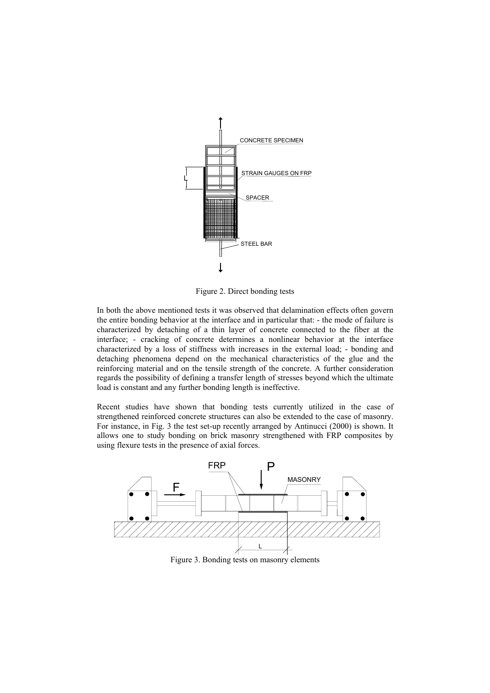

Figure 2. Direct bonding tests

In both the above mentioned tests it was observed that delamination effects often govern the entire bonding behavior at the interface and in particular that: - the mode of failure is characterized by detaching of a thin layer of concrete connected to the fiber at the interface; - cracking of concrete determines a nonlinear behavior at the interface characterized by a loss of stiffness with increases in the external load; - bonding and detaching phenomena depend on the mechanical characteristics of the glue and the reinforcing material and on the tensile strength of the concrete. A further consideration regards the possibility of defining a transfer length of stresses beyond which the ultimate load is constant and any further bonding length is ineffective.

Recent studies have shown that bonding tests currently utilized in the case of strengthened reinforced concrete structures can also be extended to the case of masonry. For instance, in Fig. 3 the test set-up recently arranged by Antinucci (2000) is shown. It allows one to study bonding on brick masonry strengthened with FRP composites by using flexure tests in the presence of axial forces.



Figure 3. Bonding tests on masonry elements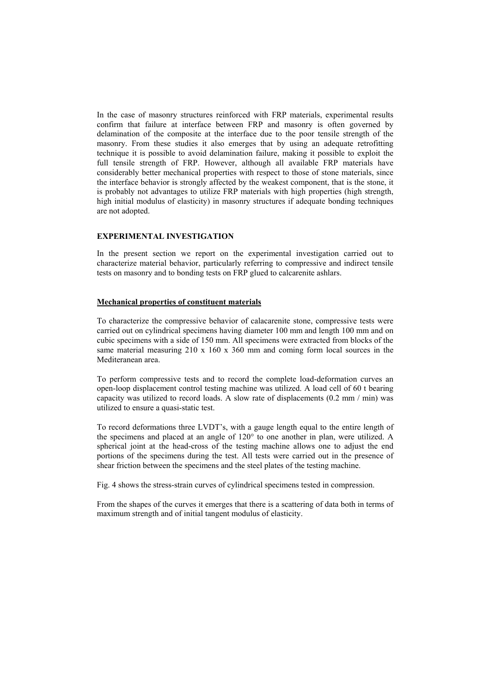In the case of masonry structures reinforced with FRP materials, experimental results confirm that failure at interface between FRP and masonry is often governed by delamination of the composite at the interface due to the poor tensile strength of the masonry. From these studies it also emerges that by using an adequate retrofitting technique it is possible to avoid delamination failure, making it possible to exploit the full tensile strength of FRP. However, although all available FRP materials have considerably better mechanical properties with respect to those of stone materials, since the interface behavior is strongly affected by the weakest component, that is the stone, it is probably not advantages to utilize FRP materials with high properties (high strength, high initial modulus of elasticity) in masonry structures if adequate bonding techniques are not adopted.

#### **EXPERIMENTAL INVESTIGATION**

In the present section we report on the experimental investigation carried out to characterize material behavior, particularly referring to compressive and indirect tensile tests on masonry and to bonding tests on FRP glued to calcarenite ashlars.

# **Mechanical properties of constituent materials**

To characterize the compressive behavior of calacarenite stone, compressive tests were carried out on cylindrical specimens having diameter 100 mm and length 100 mm and on cubic specimens with a side of 150 mm. All specimens were extracted from blocks of the same material measuring 210 x 160 x 360 mm and coming form local sources in the Mediteranean area.

To perform compressive tests and to record the complete load-deformation curves an open-loop displacement control testing machine was utilized. A load cell of 60 t bearing capacity was utilized to record loads. A slow rate of displacements (0.2 mm / min) was utilized to ensure a quasi-static test.

To record deformations three LVDT's, with a gauge length equal to the entire length of the specimens and placed at an angle of 120° to one another in plan, were utilized. A spherical joint at the head-cross of the testing machine allows one to adjust the end portions of the specimens during the test. All tests were carried out in the presence of shear friction between the specimens and the steel plates of the testing machine.

Fig. 4 shows the stress-strain curves of cylindrical specimens tested in compression.

From the shapes of the curves it emerges that there is a scattering of data both in terms of maximum strength and of initial tangent modulus of elasticity.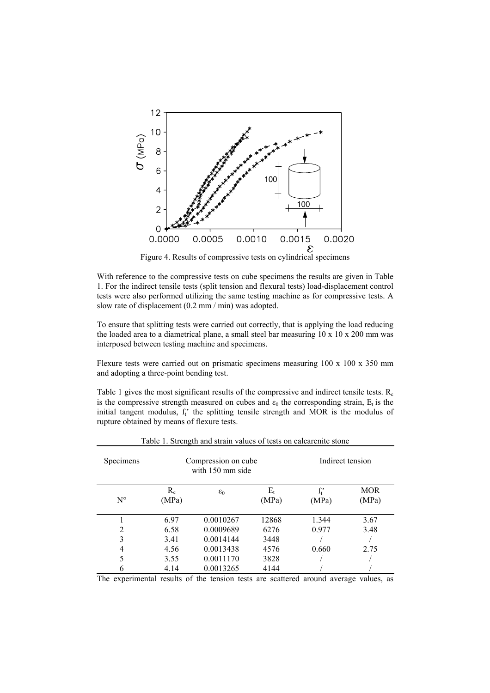

Figure 4. Results of compressive tests on cylindrical specimens

With reference to the compressive tests on cube specimens the results are given in Table 1. For the indirect tensile tests (split tension and flexural tests) load-displacement control tests were also performed utilizing the same testing machine as for compressive tests. A slow rate of displacement (0.2 mm / min) was adopted.

To ensure that splitting tests were carried out correctly, that is applying the load reducing the loaded area to a diametrical plane, a small steel bar measuring  $10 \times 10 \times 200$  mm was interposed between testing machine and specimens.

Flexure tests were carried out on prismatic specimens measuring 100 x 100 x 350 mm and adopting a three-point bending test.

Table 1 gives the most significant results of the compressive and indirect tensile tests.  $R_c$ is the compressive strength measured on cubes and  $\varepsilon_0$  the corresponding strain. E<sub>t</sub> is the initial tangent modulus,  $f_t$  the splitting tensile strength and MOR is the modulus of rupture obtained by means of flexure tests.

| Specimens   |                | Compression on cube<br>with 150 mm side | Table 1. Strength and strain values of tests on calcarenite stone<br>Indirect tension |                 |                     |
|-------------|----------------|-----------------------------------------|---------------------------------------------------------------------------------------|-----------------|---------------------|
| $N^{\circ}$ | $R_c$<br>(MPa) | $\varepsilon_0$                         | $E_t$<br>(MPa)                                                                        | $f_1'$<br>(MPa) | <b>MOR</b><br>(MPa) |
|             | 6.97           | 0.0010267                               | 12868                                                                                 | 1.344           | 3.67                |
| 2           | 6.58           | 0.0009689                               | 6276                                                                                  | 0.977           | 3.48                |
| 3           | 3.41           | 0.0014144                               | 3448                                                                                  |                 |                     |
| 4           | 4.56           | 0.0013438                               | 4576                                                                                  | 0.660           | 2.75                |
| 5           | 3.55           | 0.0011170                               | 3828                                                                                  |                 |                     |
| 6           | 4.14           | 0.0013265                               | 4144                                                                                  |                 |                     |

The experimental results of the tension tests are scattered around average values, as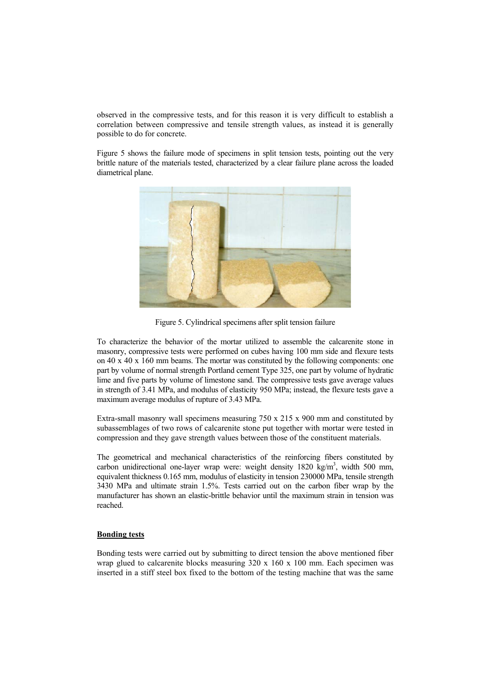observed in the compressive tests, and for this reason it is very difficult to establish a correlation between compressive and tensile strength values, as instead it is generally possible to do for concrete.

Figure 5 shows the failure mode of specimens in split tension tests, pointing out the very brittle nature of the materials tested, characterized by a clear failure plane across the loaded diametrical plane.



Figure 5. Cylindrical specimens after split tension failure

To characterize the behavior of the mortar utilized to assemble the calcarenite stone in masonry, compressive tests were performed on cubes having 100 mm side and flexure tests on 40 x 40 x 160 mm beams. The mortar was constituted by the following components: one part by volume of normal strength Portland cement Type 325, one part by volume of hydratic lime and five parts by volume of limestone sand. The compressive tests gave average values in strength of 3.41 MPa, and modulus of elasticity 950 MPa; instead, the flexure tests gave a maximum average modulus of rupture of 3.43 MPa.

Extra-small masonry wall specimens measuring 750 x 215 x 900 mm and constituted by subassemblages of two rows of calcarenite stone put together with mortar were tested in compression and they gave strength values between those of the constituent materials.

The geometrical and mechanical characteristics of the reinforcing fibers constituted by carbon unidirectional one-layer wrap were: weight density 1820 kg/m<sup>3</sup>, width 500 mm, equivalent thickness 0.165 mm, modulus of elasticity in tension 230000 MPa, tensile strength 3430 MPa and ultimate strain 1.5%. Tests carried out on the carbon fiber wrap by the manufacturer has shown an elastic-brittle behavior until the maximum strain in tension was reached.

## **Bonding tests**

Bonding tests were carried out by submitting to direct tension the above mentioned fiber wrap glued to calcarenite blocks measuring  $320 \times 160 \times 100$  mm. Each specimen was inserted in a stiff steel box fixed to the bottom of the testing machine that was the same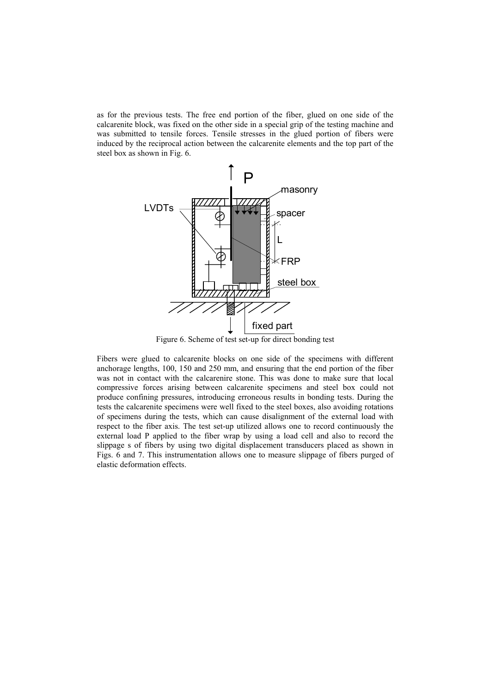as for the previous tests. The free end portion of the fiber, glued on one side of the calcarenite block, was fixed on the other side in a special grip of the testing machine and was submitted to tensile forces. Tensile stresses in the glued portion of fibers were induced by the reciprocal action between the calcarenite elements and the top part of the steel box as shown in Fig. 6.



Figure 6. Scheme of test set-up for direct bonding test

Fibers were glued to calcarenite blocks on one side of the specimens with different anchorage lengths, 100, 150 and 250 mm, and ensuring that the end portion of the fiber was not in contact with the calcarenire stone. This was done to make sure that local compressive forces arising between calcarenite specimens and steel box could not produce confining pressures, introducing erroneous results in bonding tests. During the tests the calcarenite specimens were well fixed to the steel boxes, also avoiding rotations of specimens during the tests, which can cause disalignment of the external load with respect to the fiber axis. The test set-up utilized allows one to record continuously the external load P applied to the fiber wrap by using a load cell and also to record the slippage s of fibers by using two digital displacement transducers placed as shown in Figs. 6 and 7. This instrumentation allows one to measure slippage of fibers purged of elastic deformation effects.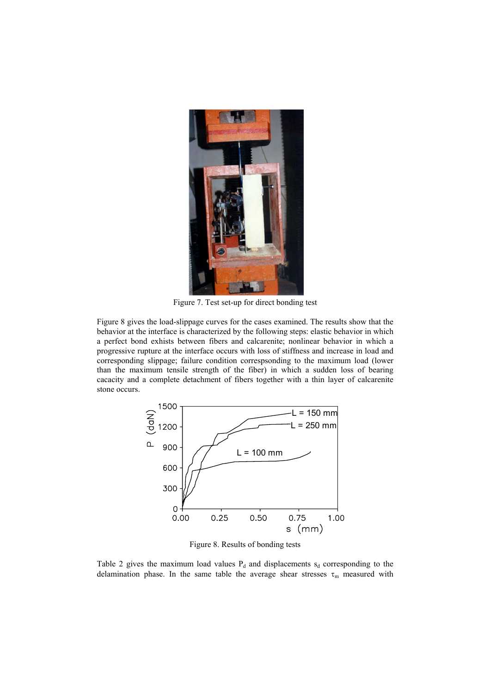

Figure 7. Test set-up for direct bonding test

Figure 8 gives the load-slippage curves for the cases examined. The results show that the behavior at the interface is characterized by the following steps: elastic behavior in which a perfect bond exhists between fibers and calcarenite; nonlinear behavior in which a progressive rupture at the interface occurs with loss of stiffness and increase in load and corresponding slippage; failure condition correspsonding to the maximum load (lower than the maximum tensile strength of the fiber) in which a sudden loss of bearing cacacity and a complete detachment of fibers together with a thin layer of calcarenite stone occurs.



Figure 8. Results of bonding tests

Table 2 gives the maximum load values  $P_d$  and displacements  $s_d$  corresponding to the delamination phase. In the same table the average shear stresses  $\tau_m$  measured with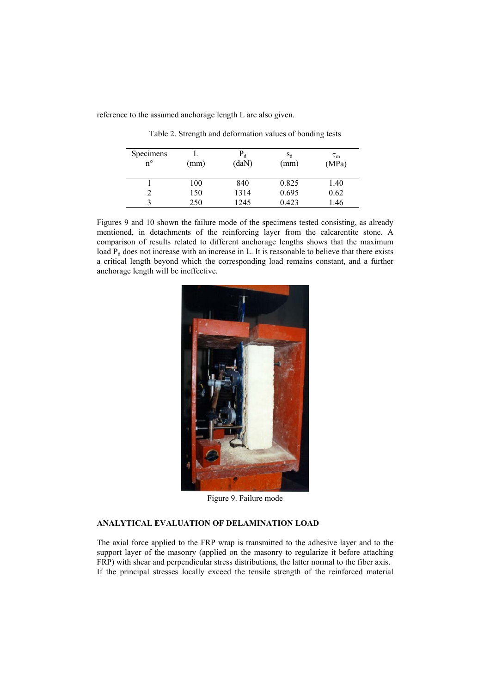reference to the assumed anchorage length L are also given.

| Specimens<br>$n^{\circ}$ | (mm) | $P_d$<br>(daN) | $S_d$<br>(mm) | $\tau_{\rm m}$<br>(MPa) |
|--------------------------|------|----------------|---------------|-------------------------|
|                          | 100  | 840            | 0.825         | 1.40                    |
|                          | 150  | 1314           | 0.695         | 0.62                    |
| 3                        | 250  | 1245           | 0.423         | 1.46                    |

Table 2. Strength and deformation values of bonding tests

Figures 9 and 10 shown the failure mode of the specimens tested consisting, as already mentioned, in detachments of the reinforcing layer from the calcarentite stone. A comparison of results related to different anchorage lengths shows that the maximum load  $P_d$  does not increase with an increase in L. It is reasonable to believe that there exists a critical length beyond which the corresponding load remains constant, and a further anchorage length will be ineffective.



Figure 9. Failure mode

# **ANALYTICAL EVALUATION OF DELAMINATION LOAD**

The axial force applied to the FRP wrap is transmitted to the adhesive layer and to the support layer of the masonry (applied on the masonry to regularize it before attaching FRP) with shear and perpendicular stress distributions, the latter normal to the fiber axis. If the principal stresses locally exceed the tensile strength of the reinforced material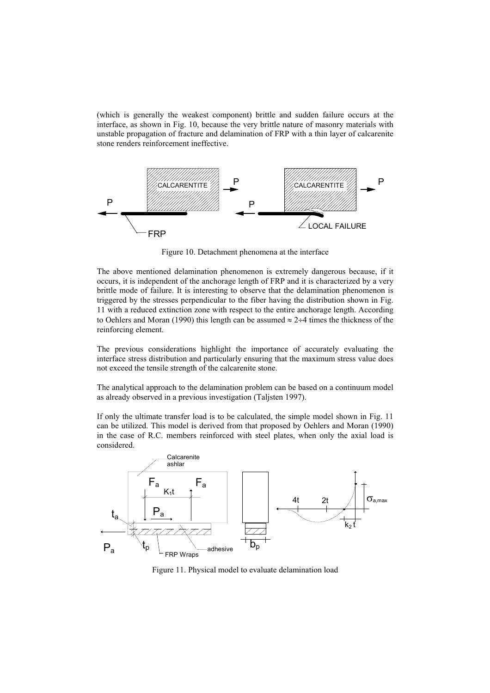(which is generally the weakest component) brittle and sudden failure occurs at the interface, as shown in Fig. 10, because the very brittle nature of masonry materials with unstable propagation of fracture and delamination of FRP with a thin layer of calcarenite stone renders reinforcement ineffective.



Figure 10. Detachment phenomena at the interface

The above mentioned delamination phenomenon is extremely dangerous because, if it occurs, it is independent of the anchorage length of FRP and it is characterized by a very brittle mode of failure. It is interesting to observe that the delamination phenomenon is triggered by the stresses perpendicular to the fiber having the distribution shown in Fig. 11 with a reduced extinction zone with respect to the entire anchorage length. According to Oehlers and Moran (1990) this length can be assumed  $\approx 2\div 4$  times the thickness of the reinforcing element.

The previous considerations highlight the importance of accurately evaluating the interface stress distribution and particularly ensuring that the maximum stress value does not exceed the tensile strength of the calcarenite stone.

The analytical approach to the delamination problem can be based on a continuum model as already observed in a previous investigation (Taljsten 1997).

If only the ultimate transfer load is to be calculated, the simple model shown in Fig. 11 can be utilized. This model is derived from that proposed by Oehlers and Moran (1990) in the case of R.C. members reinforced with steel plates, when only the axial load is considered.



Figure 11. Physical model to evaluate delamination load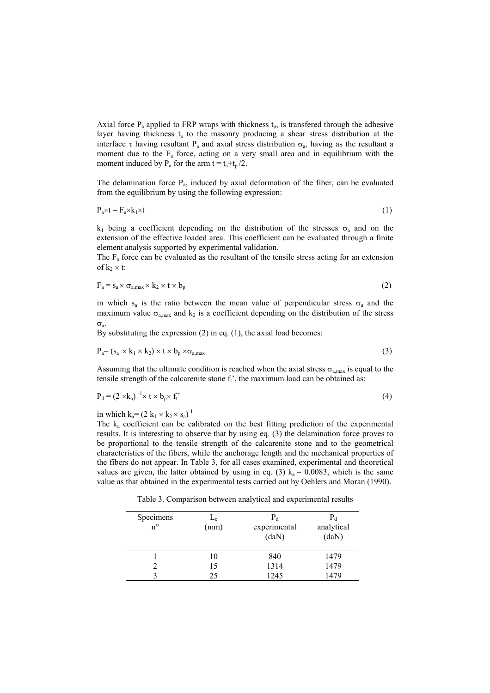Axial force  $P_a$  applied to FRP wraps with thickness  $t_p$ , is transfered through the adhesive layer having thickness  $t_a$  to the masonry producing a shear stress distribution at the interface  $\tau$  having resultant P<sub>a</sub> and axial stress distribution  $\sigma_a$ , having as the resultant a moment due to the  $F_a$  force, acting on a very small area and in equilibrium with the moment induced by  $P_a$  for the arm t =  $t_a+t_b/2$ .

The delamination force  $P_a$ , induced by axial deformation of the fiber, can be evaluated from the equilibrium by using the following expression:

 $P_a \times t = F_a \times k_1 \times t$  (1)

k<sub>1</sub> being a coefficient depending on the distribution of the stresses  $σ<sub>a</sub>$  and on the extension of the effective loaded area. This coefficient can be evaluated through a finite element analysis supported by experimental validation.

The  $F_a$  force can be evaluated as the resultant of the tensile stress acting for an extension of  $k_2 \times t$ :

$$
F_a = s_a \times \sigma_{a,max} \times k_2 \times t \times b_p \tag{2}
$$

in which  $s_a$  is the ratio between the mean value of perpendicular stress  $\sigma_a$  and the maximum value  $\sigma_{a,max}$  and  $k_2$  is a coefficient depending on the distribution of the stress σa.

By substituting the expression (2) in eq. (1), the axial load becomes:

$$
P_a = (s_a \times k_1 \times k_2) \times t \times b_p \times \sigma_{a,max}
$$
\n(3)

Assuming that the ultimate condition is reached when the axial stress  $\sigma_{a max}$  is equal to the tensile strength of the calcarenite stone  $f_i$ , the maximum load can be obtained as:

$$
P_d = (2 \times k_a)^{-1} \times t \times b_p \times f_t^{\prime}
$$
 (4)

in which  $k_a = (2 k_1 \times k_2 \times s_a)^{-1}$ 

The ka coefficient can be calibrated on the best fitting prediction of the experimental results. It is interesting to observe that by using eq. (3) the delamination force proves to be proportional to the tensile strength of the calcarenite stone and to the geometrical characteristics of the fibers, while the anchorage length and the mechanical properties of the fibers do not appear. In Table 3, for all cases examined, experimental and theoretical values are given, the latter obtained by using in eq. (3)  $k_a = 0.0083$ , which is the same value as that obtained in the experimental tests carried out by Oehlers and Moran (1990).

Table 3. Comparison between analytical and experimental results

| Specimens<br>$n^{\circ}$ | $L_c$<br>(mm) | $P_d$<br>experimental<br>(daN) | $P_d$<br>analytical<br>(daN) |
|--------------------------|---------------|--------------------------------|------------------------------|
|                          | 10            | 840                            | 1479                         |
|                          | 15            | 1314                           | 1479                         |
|                          | 25            | 1245                           | 1479                         |